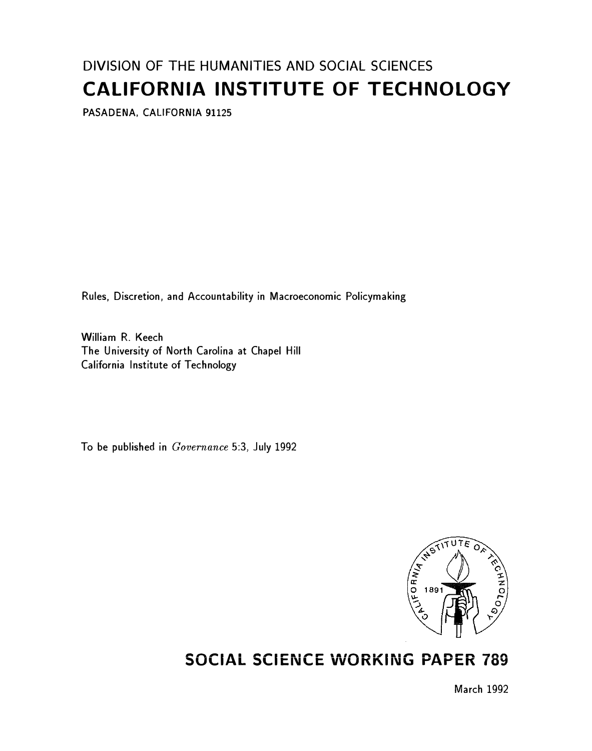# DIVISION OF THE HUMANITIES AND SOCIAL SCIENCES CALIFORNIA INSTITUTE OF TECHNOLOGY

PASADENA, CALIFORNIA 91125

Rules, Discretion, and Accountability in Macroeconomic Policymaking

William R. Keech The University of North Carolina at Chapel Hill California Institute of Technology

To be published in Governance 5:3, July 1992



## SOCIAL SCIENCE WORKING PAPER 789

March 1992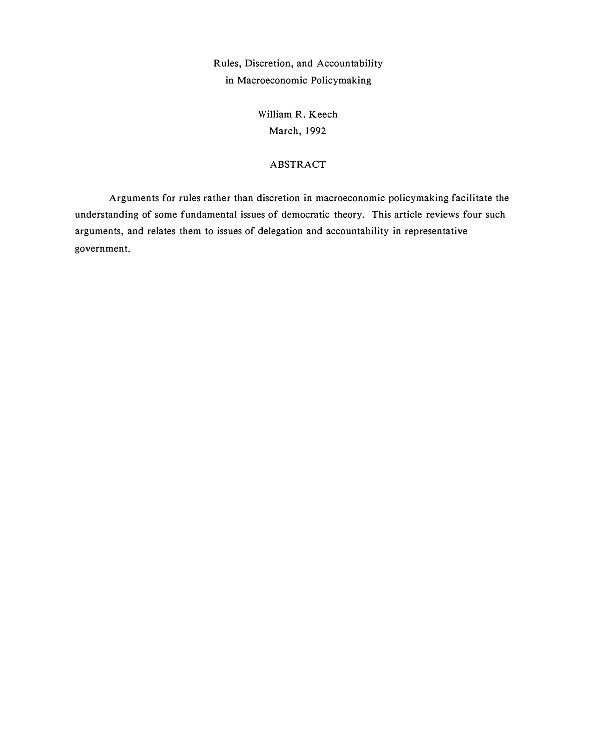Rules, Discretion, and Accountability in Macroeconomic Policymaking

> William R. Keech March, 1992

### ABSTRACT

Arguments for rules rather than discretion in macroeconomic policymaking facilitate the understanding of some fundamental issues of democratic theory. This article reviews four such arguments, and relates them to issues of delegation and accountability in representative government.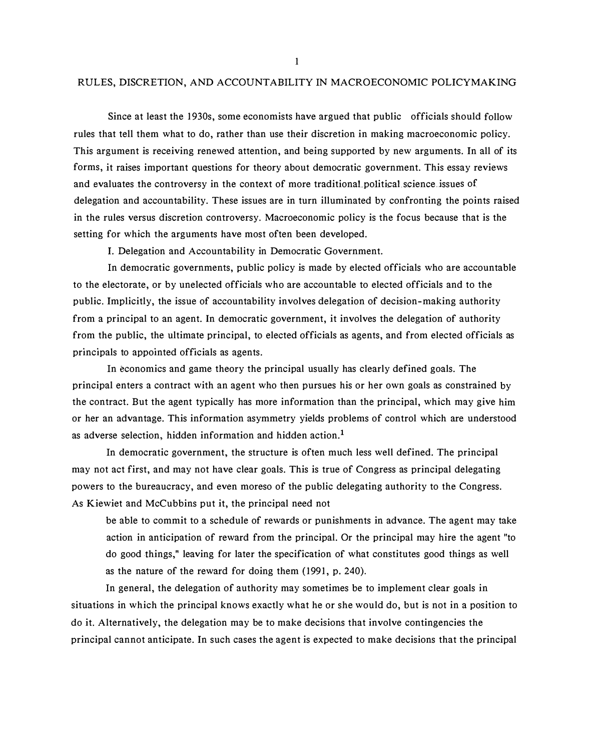#### RULES, DISCRETION, AND ACCOUNTABILITY IN MACROECONOMIC POLICYMAKING

Since at least the 1930s, some economists have argued that public officials should follow rules that tell them what to do, rather than use their discretion in making macroeconomic policy. This argument is receiving renewed attention, and being supported by new arguments. In all of its forms, it raises important questions for theory about democratic government. This essay reviews and evaluates the controversy in the context of more traditionaLpoliticalscience.issues of delegation and accountability. These issues are in turn illuminated by confronting the points raised in the rules versus discretion controversy. Macroeconomic policy is the focus because that is the setting for which the arguments have most often been developed.

I. Delegation and Accountability in Democratic Government.

In democratic governments, public policy is made by elected officials who are accountable to the electorate, or by unelected officials who are accountable to elected officials and to the public. Implicitly, the issue of accountability involves delegation of decision-making authority from a principal to an agent. In democratic government, it involves the delegation of authority from the public, the ultimate principal, to elected officials as agents, and from elected officials as principals to appointed officials as agents.

In economics and game theory the principal usually has clearly defined goals. The principal enters a contract with an agent who then pursues his or her own goals as constrained by the contract. But the agent typically has more information than the principal, which may give him or her an advantage. This information asymmetry yields problems of control which are understood as adverse selection, hidden information and hidden action.<sup>1</sup>

In democratic government, the structure is often much less well defined. The principal may not act first, and may not have clear goals. This is true of Congress as principal delegating powers to the bureaucracy, and even moreso of the public delegating authority to the Congress. As Kiewiet and McCubbins put it, the principal need not

be able to commit to a schedule of rewards or punishments in advance. The agent may take action in anticipation of reward from the principal. Or the principal may hire the agent "to do good things," leaving for later the specification of what constitutes good things as well as the nature of the reward for doing them (1991, p. 240).

In general, the delegation of authority may sometimes be to implement clear goals in situations in which the principal knows exactly what he or she would do, but is not in a position to do it. Alternatively, the delegation may be to make decisions that involve contingencies the principal cannot anticipate. In such cases the agent is expected to make decisions that the principal

I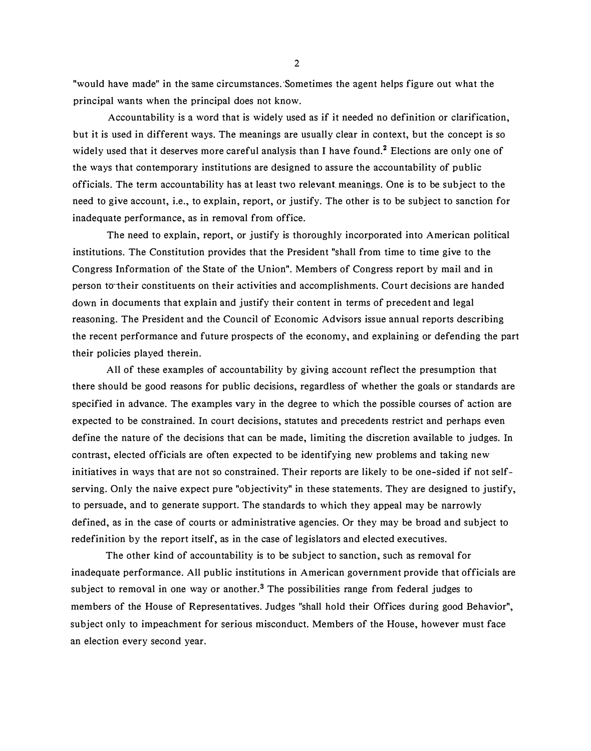"would have made" in the same circumstances. Sometimes the agent helps figure out what the principal wants when the principal does not know.

Accountability is a word that is widely used as if it needed no definition or clarification, but it is used in different ways. The meanings are usually clear in context, but the concept is so widely used that it deserves more careful analysis than I have found.<sup>2</sup> Elections are only one of the ways that contemporary institutions are designed to assure the accountability of public officials. The term accountability has at least two relevant meanings. One is to be. subject to the need to give account, i.e., to explain, report, or justify. The other is to be subject to sanction for inadequate performance, as in removal from office.

The need to explain, report, or justify is thoroughly incorporated into American political institutions. The Constitution provides that the President "shall from time to time give to the Congress Information of the State of the Union". Members of Congress report by mail and in person to their constituents on their activities and accomplishments. Court decisions are handed down in documents that explain and justify their content in terms of precedent and legal reasoning. The President and the Council of Economic Advisors issue annual reports describing the recent performance and future prospects of the economy, and explaining or defending the part their policies played therein.

All of these examples of accountability by giving account reflect the presumption that there should be good reasons for public decisions, regardless of whether the goals or standards are specified in advance. The examples vary in the degree to which the possible courses of action are expected to be constrained. In court decisions, statutes and precedents restrict and perhaps even define the nature of the decisions that can be made, limiting the discretion available to judges. In contrast, elected officials are often expected to be identifying new problems and taking new initiatives in ways that are not so constrained. Their reports are likely to be one-sided if not selfserving. Only the naive expect pure "objectivity" in these statements. They are designed to justify, to persuade, and to generate support. The standards to which they appeal may be narrowly defined, as in the case of courts or administrative agencies. Or they may be broad and subject to redefinition by the report itself, as in the case of legislators and elected executives.

The other kind of accountability is to be subject to sanction, such as removal for inadequate performance. All public institutions in American government provide that officials are subject to removal in one way or another.<sup>3</sup> The possibilities range from federal judges to members of the House of Representatives. Judges "shall hold their Offices during good Behavior", subject only to impeachment for serious misconduct. Members of the House, however must face an election every second year.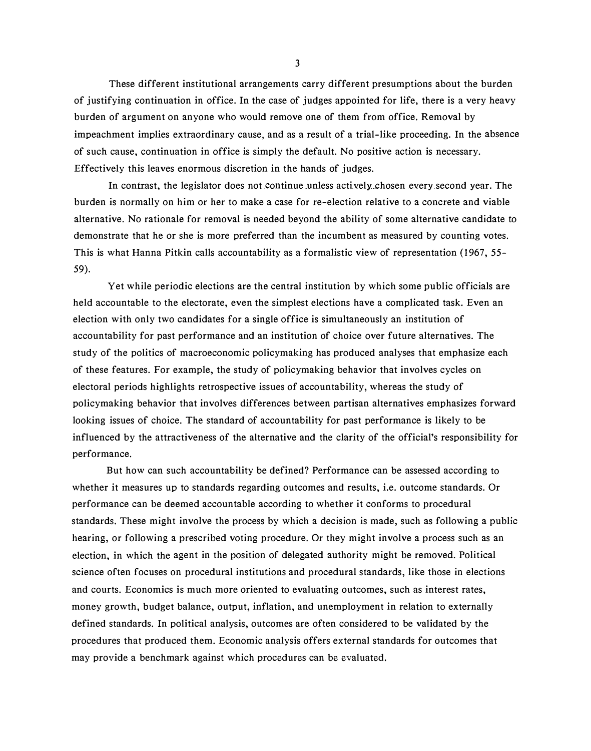These different institutional arrangements carry different presumptions about the burden of justifying continuation in office. In the case of judges appointed for life, there is a very heavy burden of argument on anyone who would remove one of them from office. Removal by impeachment implies extraordinary cause, and as a result of a trial-like proceeding. In the absence of such cause, continuation in office is simply the default. No positive action is necessary. Effectively this leaves enormous discretion in the hands of judges.

In contrast, the legislator does not continue unless actively chosen every second year. The burden is normally on him or her to make a case for re-election relative to a concrete and viable alternative. No rationale for removal is needed beyond the ability of some alternative candidate to demonstrate that he or she is more preferred than the incumbent as measured by counting votes. This is what Hanna Pitkin calls accountability as a formalistic view of representation (1 967, 55- 59).

Yet while periodic elections are the central institution by which some public officials are held accountable to the electorate, even the simplest elections have a complicated task. Even an election with only two candidates for a single office is simultaneously an institution of accountability for past performance and an institution of choice over future alternatives. The study of the politics of macroeconomic policymaking has produced analyses that emphasize each of these features. For example, the study of policymaking behavior that involves cycles on electoral periods highlights retrospective issues of accountability, whereas the study of policymaking behavior that involves differences between partisan alternatives emphasizes forward looking issues of choice. The standard of accountability for past performance is likely to be influenced by the attractiveness of the alternative and the clarity of the official's responsibility for performance.

But how can such accountability be defined? Performance can be assessed according to whether it measures up to standards regarding outcomes and results, i.e. outcome standards. Or performance can be deemed accountable according to whether it conforms to procedural standards. These might involve the process by which a decision is made, such as following a public hearing, or following a prescribed voting procedure. Or they might involve a process such as an election, in which the agent in the position of delegated authority might be removed. Political science often focuses on procedural institutions and procedural standards, like those in elections and courts. Economics is much more oriented to evaluating outcomes, such as interest rates, money growth, budget balance, output, inflation, and unemployment in relation to externally defined standards. In political analysis, outcomes are often considered to be validated by the procedures that produced them. Economic analysis offers external standards for outcomes that may provide a benchmark against which procedures can be evaluated.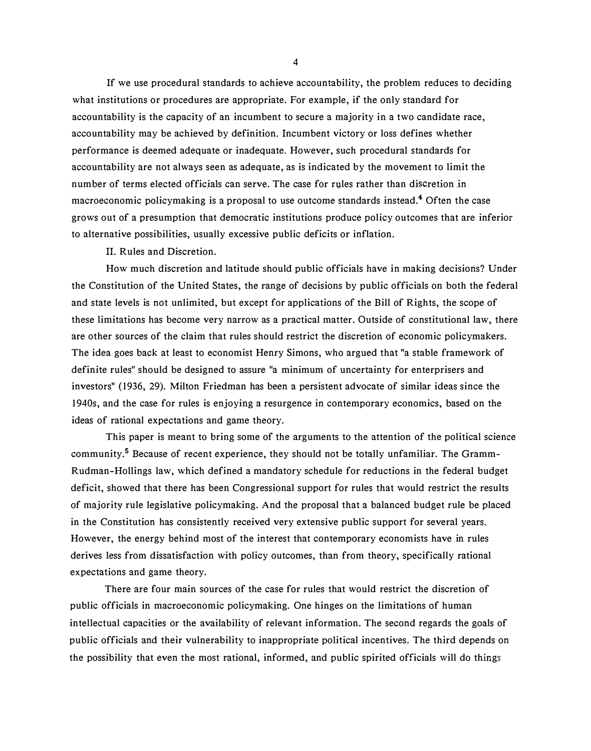If we use procedural standards to achieve accountability, the problem reduces to deciding what institutions or procedures are appropriate. For example, if the only standard for accountability is the capacity of an incumbent to secure a majority in a two candidate race, accountability may be achieved by definition. Incumbent victory or loss defines whether performance is deemed adequate or inadequate. However, such procedural standards for accountability are not always seen as adequate, as is indicated by the movement to limit the number of terms elected officials can serve. The case for rules rather than discretion in macroeconomic policymaking is a proposal to use outcome standards instead.4 Often the case grows out of a presumption that democratic institutions produce policy outcomes that are inferior to alternative possibilities, usually excessive public deficits or inflation.

II. Rules and Discretion.

How much discretion and latitude should public officials have in making decisions? Under the Constitution of the United States, the range of decisions by public officials on both the federal and state levels is not unlimited, but except for applications of the Bill of Rights, the scope of these limitations has become very narrow as a practical matter. Outside of constitutional law, there are other sources of the claim that rules should restrict the discretion of economic policymakers. The idea goes back at least to economist Henry Simons, who argued that "a stable framework of definite rules" should be designed to assure "a minimum of uncertainty for enterprisers and investors" (1936, 29). Milton Friedman has been a persistent advocate of similar ideas since the 1940s, and the case for rules is enjoying a resurgence in contemporary economics, based on the ideas of rational expectations and game theory.

This paper is meant to bring some of the arguments to the attention of the political science community.<sup>5</sup> Because of recent experience, they should not be totally unfamiliar. The Gramm-Rudman-Hollings law, which defined a mandatory schedule for reductions in the federal budget deficit, showed that there has been Congressional support for rules that would restrict the results of majority rule legislative policymaking. And the proposal that a balanced budget rule be placed in the Constitution has consistently received very extensive public support for several years. However, the energy behind most of the interest that contemporary economists have in rules derives less from dissatisfaction with policy outcomes, than from theory, specifically rational expectations and game theory.

There are four main sources of the case for rules that would restrict the discretion of public officials in macroeconomic policymaking. One hinges on the limitations of human intellectual capacities or the availability of relevant information. The second regards the goals of public officials and their vulnerability to inappropriate political incentives. The third depends on the possibility that even the most rational, informed, and public spirited officials will do things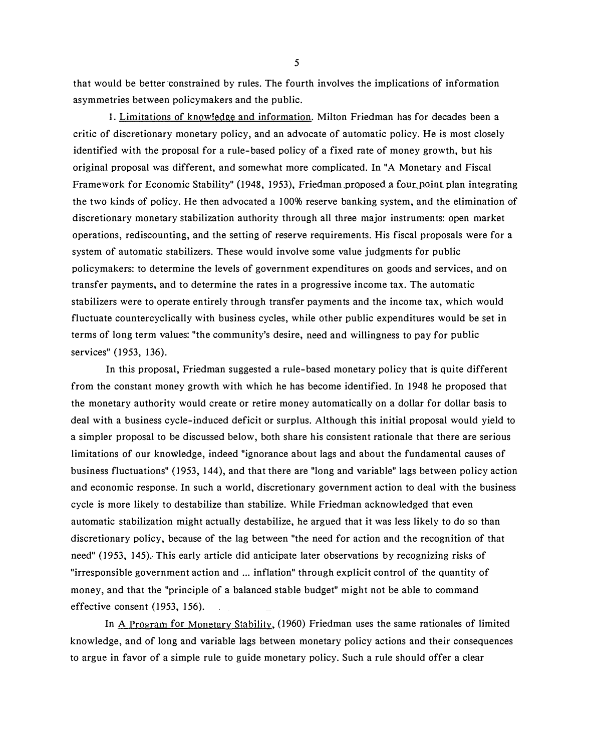that would be better constrained by rules. The fourth involves the implications of information asymmetries between policymakers and the public.

I. Limitations of knowledge and information. Milton Friedman has for decades been a critic of discretionary monetary policy, and an advocate of automatic policy. He is most closely identified with the proposal for a rule-based policy of a fixed rate of money growth, but his original proposal was different, and somewhat more complicated. In "A Monetary and Fiscal Framework for Economic Stability" (1948, 1953), Friedman proposed a four point plan integrating the two kinds of policy. He then advocated a 100% reserve banking system, and the elimination of discretionary monetary stabilization authority through all three major instruments: open market operations, rediscounting, and the setting of reserve requirements. His fiscal proposals were for a system of automatic stabilizers. These would involve some value judgments for public policymakers: to determine the levels of government expenditures on goods and services, and on transfer payments, and to determine the rates in a progressive income tax. The automatic stabilizers were to operate entirely through transfer payments and the income tax, which would fluctuate countercyclically with business cycles, while other public expenditures would be set in terms of long term values: "the community's desire, need and willingness to pay for public services" (1953, 136).

In this proposal, Friedman suggested a rule-based monetary policy that is quite different from the constant money growth with which he has become identified. In 1948 he proposed that the monetary authority would create or retire money automatically on a dollar for dollar basis to deal with a business cycle-induced deficit or surplus. Although this initial proposal would yield to a simpler proposal to be discussed below, both share his consistent rationale that there are serious limitations of our knowledge, indeed "ignorance about lags and about the fundamental causes of business fluctuations" (1953, 144), and that there are "long and variable" lags between policy action and economic response. In such a world, discretionary government action to deal with the business cycle is more likely to destabilize than stabilize. While Friedman acknowledged that even automatic stabilization might actually destabilize, he argued that it was less likely to do so than discretionary policy, because of the lag between "the need for action and the recognition of that need" (1953, 145). This early article did anticipate later observations by recognizing risks of "irresponsible government action and ... inflation" through explicit control of the quantity of money, and that the "principle of a balanced stable budget" might not be able to command effective consent (1953, 156).

In A Program for Monetary Stability, (1960) Friedman uses the same rationales of limited knowledge, and of long and variable lags between monetary policy actions and their consequences to argue in favor of a simple rule to guide monetary policy. Such a rule should offer a clear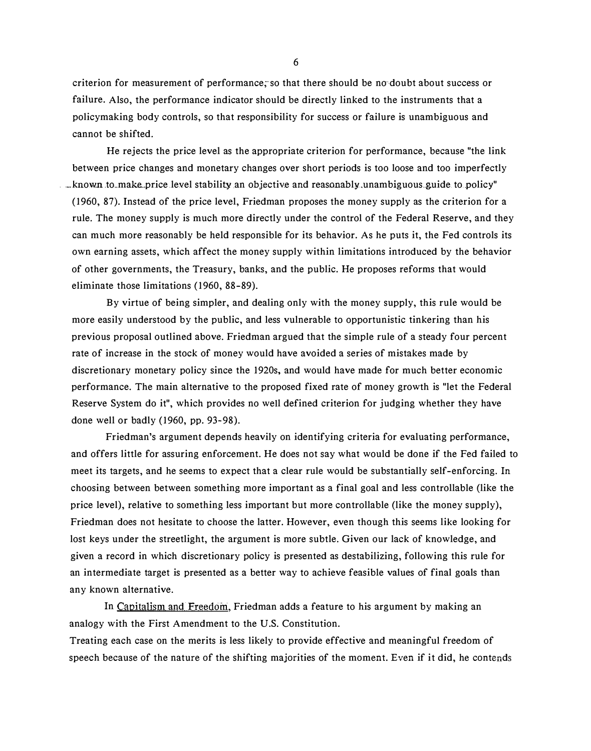criterion for measurement of performance, so that there should be no doubt about success or failure. Also, the performance indicator should be directly linked to the instruments that a policymaking body controls, so that responsibility for success or failure is unambiguous and cannot be shifted.

He rejects the price level as the appropriate criterion for performance, because "the link between price changes and monetary changes over short periods is too loose and too imperfectly . \_known .to\_maka.price .level stability .an objective and reasonably.unambiguous .. guide. to.policy" (1960, 87). Instead of the price level, Friedman proposes the money supply as the criterion for a rule. The money supply is much more directly under the control of the Federal Reserve, and they can much more reasonably be held responsible for its behavior. As he puts it, the Fed controls its own earning assets, which affect the money supply within limitations introduced by the behavior of other governments, the Treasury, banks, and the public. He proposes reforms that would eliminate those limitations (1960, 88-89).

By virtue of being simpler, and dealing only with the money supply, this rule would be more easily understood by the public, and less vulnerable to opportunistic tinkering than his previous proposal outlined above. Friedman argued that the simple rule of a steady four percent rate of increase in the stock of money would have avoided a series of mistakes made by discretionary monetary policy since the 1920s, and would have made for much better economic performance. The main alternative to the proposed fixed rate of money growth is "let the Federal Reserve System do it", which provides no well defined criterion for judging whether they have done well or badly (1960, pp. 93-98).

Friedman's argument depends heavily on identifying criteria for evaluating performance, and offers little for assuring enforcement. He does not say what would be done if the Fed failed to meet its targets, and he seems to expect that a clear rule would be substantially self-enforcing. In choosing between between something more important as a final goal and less controllable (like the price level), relative to something less important but more controllable (like the money supply), Friedman does not hesitate to choose the latter. However, even though this seems like looking for lost keys under the streetlight, the argument is more subtle. Given our lack of knowledge, and given a record in which discretionary policy is presented as destabilizing, following this rule for an intermediate target is presented as a better way to achieve feasible values of final goals than any known alternative.

In Capitalism and Freedom, Friedman adds a feature to his argument by making an analogy with the First Amendment to the U.S. Constitution.

Treating each case on the merits is less likely to provide effective and meaningful freedom of speech because of the nature of the shifting majorities of the moment. Even if it did, he contends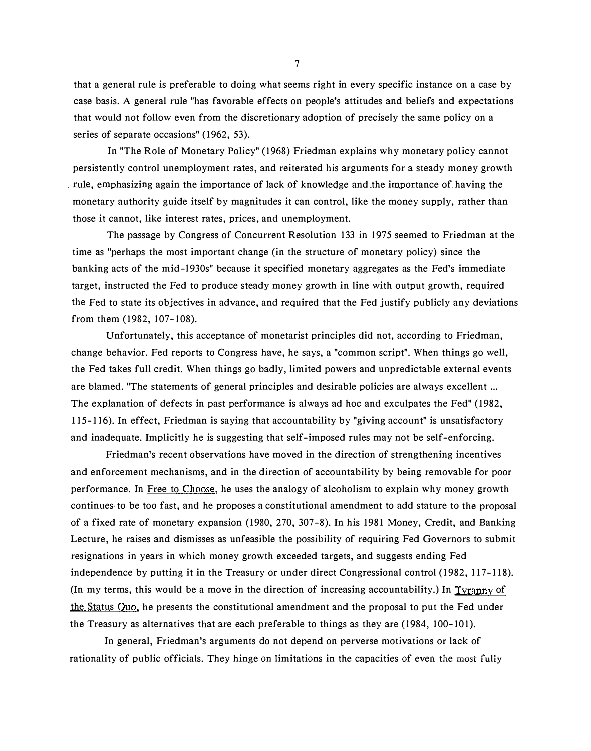that a general rule is preferable to doing what seems right in every specific instance on a case by case basis. A general rule "has favorable effects on people's attitudes and beliefs and expectations that would not follow even from the discretionary adoption of precisely the same policy on a series of separate occasions" (1962, 53).

In "The Role of Monetary Policy" (1968) Friedman explains why monetary policy cannot persistently control unemployment rates, and reiterated his arguments for a steady money growth . rule, emphasizing again the importance of lack of knowledge and \_the importance of having the monetary authority guide itself by magnitudes it can control, like the money supply, rather than those it cannot, like interest rates, prices, and unemployment.

The passage by Congress of Concurrent Resolution 133 in 1975 seemed to Friedman at the time as "perhaps the most important change (in the structure of monetary policy) since the banking acts of the mid-1930s" because it specified monetary aggregates as the Fed's immediate target, instructed the Fed to produce steady money growth in line with output growth, required the Fed to state its objectives in advance, and required that the Fed justify publicly any deviations from them (1982, 107-108).

Unfortunately, this acceptance of monetarist principles did not, according to Friedman, change behavior. Fed reports to Congress have, he says, a "common script". When things go well, the Fed takes full credit. When things go badly, limited powers and unpredictable external events are blamed. "The statements of general principles and desirable policies are always excellent ... The explanation of defects in past performance is always ad hoc and exculpates the Fed" (1982, 115-116). In effect, Friedman is saying that accountability by "giving account" is unsatisfactory and inadequate. Implicitly he is suggesting that self-imposed rules may not be self-enforcing.

Friedman's recent observations have moved in the direction of strengthening incentives and enforcement mechanisms, and in the direction of accountability by being removable for poor performance. In Free to Choose, he uses the analogy of alcoholism to explain why money growth continues to be too fast, and he proposes a constitutional amendment to add stature to the proposal of a fixed rate of monetary expansion (1980, 270, 307-8). In his 1981 Money, Credit, and Banking Lecture, he raises and dismisses as unfeasible the possibility of requiring Fed Governors to submit resignations in years in which money growth exceeded targets, and suggests ending Fed independence by putting it in the Treasury or under direct Congressional control (1982, 117-118). (In my terms, this would be a move in the direction of increasing accountability.) In Tyranny of the Status Quo, he presents the constitutional amendment and the proposal to put the Fed under the Treasury as alternatives that are each preferable to things as they are (1984, 100-101).

In general, Friedman's arguments do not depend on perverse motivations or lack of rationality of public officials. They hinge on limitations in the capacities of even the most fully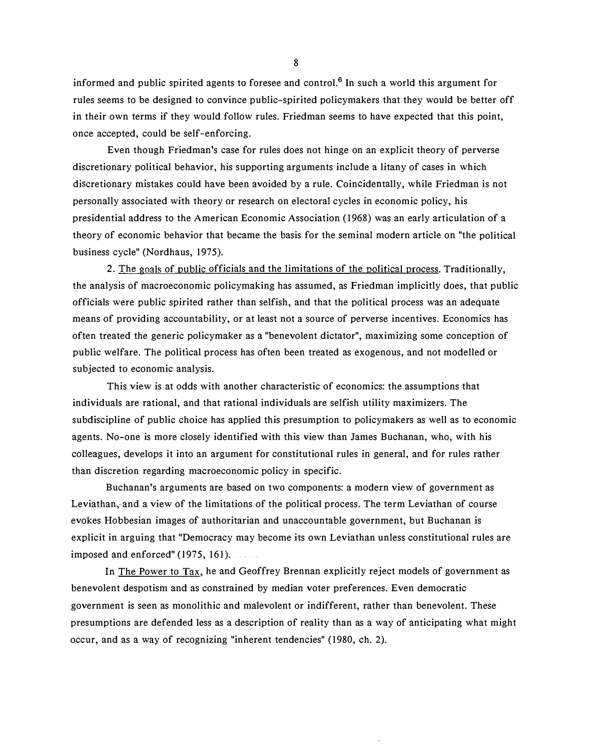informed and public spirited agents to foresee and control.<sup>6</sup> In such a world this argument for rules seems to be designed to convince public-spirited policymakers that they would be better off in their own terms if they would follow rules. Friedman seems to have expected that this point, once accepted, could be self-enforcing.

Even though Friedman's case for rules does not hinge on an explicit theory of perverse discretionary political behavior, his supporting arguments include a litany of cases in which discretionary mistakes could have been avoided by a rule. Coincidentally, while Friedman is not personally associated with theory or research on electoral cycles in economic policy, his presidential address to the American Economic Association (1968) was an early articulation of a theory of economic behavior that became the basis for the seminal modern article on "the political business cycle" (Nordhaus, 1975).

2. The goals of public officials and the limitations of the political process. Traditionally, the analysis of macroeconomic policymaking has assumed, as Friedman implicitly does, that public officials were public spirited rather than selfish, and that the political process was an adequate means of providing accountability, or at least not a source of perverse incentives. Economics has often treated the generic policymaker as a "benevolent dictator", maximizing some conception of public welfare. The political process has often been treated as exogenous, and not modelled or subjected to economic analysis.

This view is at odds with another characteristic of economics: the assumptions that individuals are rational, and that rational individuals are selfish utility maximizers. The subdiscipline of public choice has applied this presumption to policymakers as well as to economic agents. No-one is more closely identified with this view than James Buchanan, who, with his colleagues, develops it into an argument for constitutional rules in general, and for rules rather than discretion regarding macroeconomic policy in specific.

Buchanan's arguments are based on two components: a modern view of government as Leviathan, and a view of the limitations of the political process. The term Leviathan of course evokes Hobbesian images of authoritarian and unaccountable government, but Buchanan is explicit in arguing that "Democracy may become its own Leviathan unless constitutional rules are imposed and enforced" (1975, 161).

In The Power to Tax, he and Geoffrey Brennan explicitly reject models of government as benevolent despotism and as constrained by median voter preferences. Even democratic government is seen as monolithic and malevolent or indifferent, rather than benevolent. These presumptions are defended less as a description of reality than as a way of anticipating what might occur, and as a way of recognizing "inherent tendencies" (1980, ch. 2).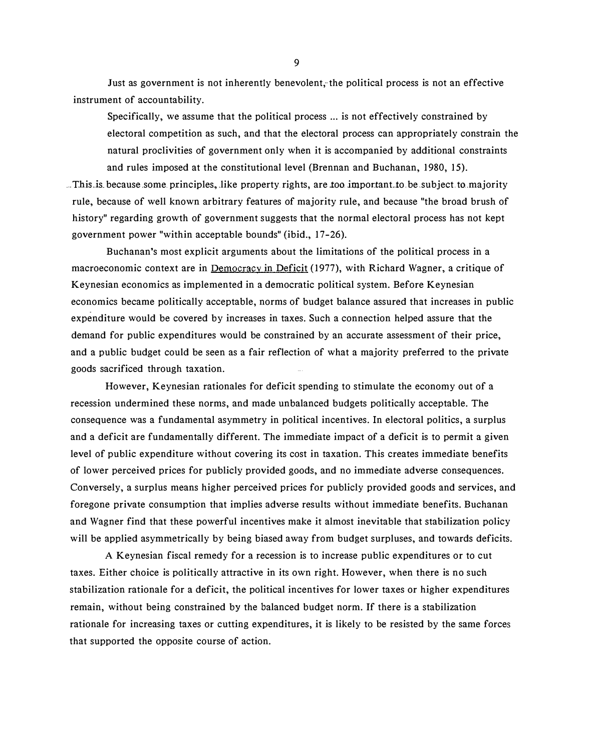Just as government is not inherently benevolent, the political process is not an effective instrument of accountability.

Specifically, we assume that the political process ... is not effectively constrained by electoral competition as such, and that the electoral process can appropriately constrain the natural proclivities of government only when it is accompanied by additional constraints and rules imposed at the constitutional level (Brennan and Buchanan, 1980, 15) .

... This is because some principles, like property rights, are too important to be subject to majority rule, because of well known arbitrary features of majority rule, and because "the broad brush of history" regarding growth of government suggests that the normal electoral process has not kept government power "within acceptable bounds" (ibid., 17-26).

Buchanan's most explicit arguments about the limitations of the political process in a macroeconomic context are in Democracy in Deficit (1977), with Richard Wagner, a critique of Keynesian economics as implemented in a democratic political system. Before Keynesian economics became politically acceptable, norms of budget balance assured that increases in public expenditure would be covered by increases in taxes. Such a connection helped assure that the demand for public expenditures would be constrained by an accurate assessment of their price, and a public budget could be seen as a fair reflection of what a majority preferred to the private goods sacrificed through taxation.

However, Keynesian rationales for deficit spending to stimulate the economy out of a recession undermined these norms, and made unbalanced budgets politically acceptable. The consequence was a fundamental asymmetry in political incentives. In electoral politics, a surplus and a deficit are fundamentally different. The immediate impact of a deficit is to permit a given level of public expenditure without covering its cost in taxation. This creates immediate benefits of lower perceived prices for publicly provided goods, and no immediate adverse consequences. Conversely, a surplus means higher perceived prices for publicly provided goods and services, and foregone private consumption that implies adverse results without immediate benefits. Buchanan and Wagner find that these powerful incentives make it almost inevitable that stabilization policy will be applied asymmetrically by being biased away from budget surpluses, and towards deficits.

A Keynesian fiscal remedy for a recession is to increase public expenditures or to cut taxes. Either choice is politically attractive in its own right. However, when there is no such stabilization rationale for a deficit, the political incentives for lower taxes or higher expenditures remain, without being constrained by the balanced budget norm. If there is a stabilization rationale for increasing taxes or cutting expenditures, it is likely to be resisted by the same forces that supported the opposite course of action.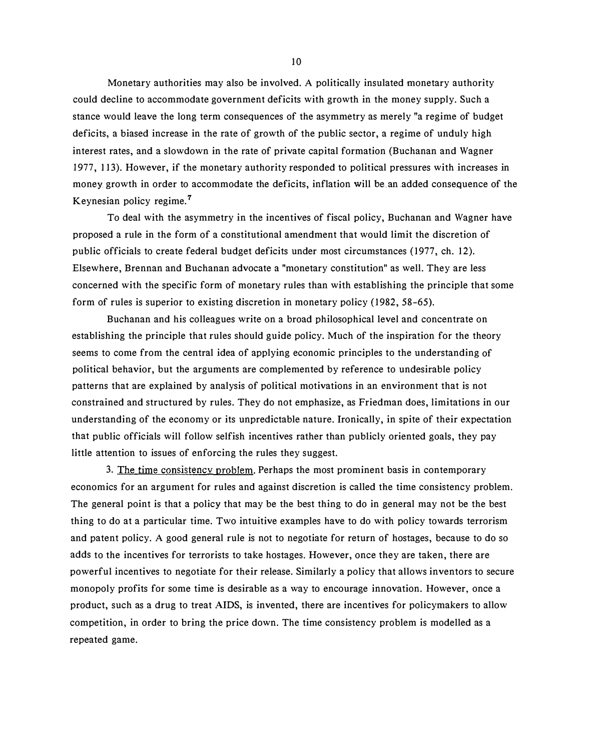Monetary authorities may also be involved. A politically insulated monetary authority could decline to accommodate government deficits with growth in the money supply. Such a stance would leave the long term consequences of the asymmetry as merely "a regime of budget deficits, a biased increase in the rate of growth of the public sector, a regime of unduly high interest rates, and a slowdown in the rate of private capital formation (Buchanan and Wagner 1977, 113). However, if the monetary authority responded to political pressures with increases in money growth in order to accommodate the deficits, inflation will be an added consequence of the Keynesian policy regime.<sup>7</sup>

To deal with the asymmetry in the incentives of fiscal policy, Buchanan and Wagner have proposed a rule in the form of a constitutional amendment that would limit the discretion of public officials to create federal budget deficits under most circumstances (1977, ch. 12). Elsewhere, Brennan and Buchanan advocate a "monetary constitution" as well. They are less concerned with the specific form of monetary rules than with establishing the principle that some form of rules is superior to existing discretion in monetary policy (1982, 58-65).

Buchanan and his colleagues write on a broad philosophical level and concentrate on establishing the principle that rules should guide policy. Much of the inspiration for the theory seems to come from the central idea of applying economic principles to the understanding of political behavior, but the arguments are complemented by reference to undesirable policy patterns that are explained by analysis of political motivations in an environment that is not constrained and structured by rules. They do not emphasize, as Friedman does, limitations in our understanding of the economy or its unpredictable nature. Ironically, in spite of their expectation that public officials will follow selfish incentives rather than publicly oriented goals, they pay little attention to issues of enforcing the rules they suggest.

3. The time consistency problem. Perhaps the most prominent basis in contemporary economics for an argument for rules and against discretion is called the time consistency problem. The general point is that a policy that may be the best thing to do in general may not be the best thing to do at a particular time. Two intuitive examples have to do with policy towards terrorism and patent policy. A good general rule is not to negotiate for return of hostages, because to do so adds to the incentives for terrorists to take hostages. However, once they are taken, there are powerful incentives to negotiate for their release. Similarly a policy that allows inventors to secure monopoly profits for some time is desirable as a way to encourage innovation. However, once a product, such as a drug to treat AIDS, is invented, there are incentives for policymakers to allow competition, in order to bring the price down. The time consistency problem is modelled as a repeated game.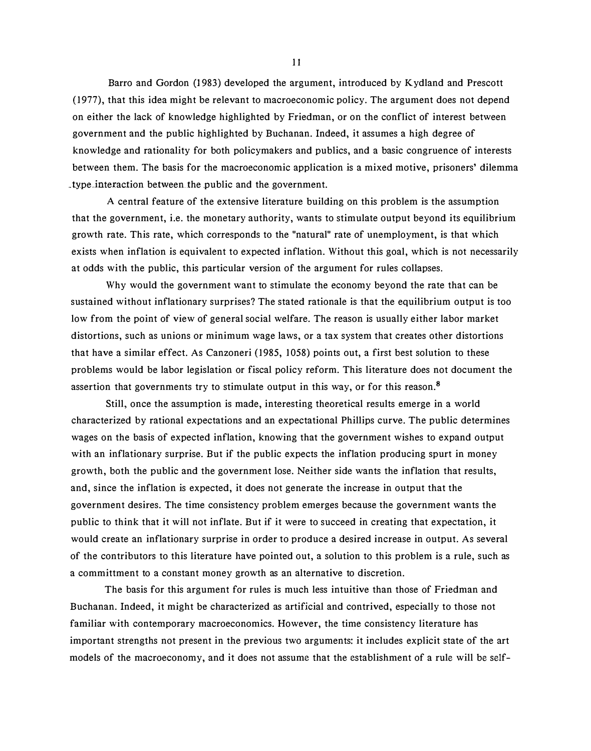Barro and Gordon (I 983) developed the argument, introduced by Kydland and Prescott (1977), that this idea might be relevant to macroeconomic policy. The argument does not depend on either the lack of knowledge highlighted by Friedman, or on the conflict of interest between government and the public highlighted by Buchanan. Indeed, it assumes a high degree of knowledge and rationality for both policymakers and publics, and a basic congruence of interests between them. The basis for the macroeconomic application is a mixed motive, prisoners' dilemma type interaction between the public and the government.

A central feature of the extensive literature building on this problem is the assumption that the government, i.e. the monetary authority, wants to stimulate output beyond its equilibrium growth rate. This rate, which corresponds to the "natural" rate of unemployment, is that which exists when inflation is equivalent to expected inflation. Without this goal, which is not necessarily at odds with the public, this particular version of the argument for rules collapses.

Why would the government want to stimulate the economy beyond the rate that can be sustained without inflationary surprises? The stated rationale is that the equilibrium output is too low from the point of view of general social welfare. The reason is usually either labor market distortions, such as unions or minimum wage laws, or a tax system that creates other distortions that have a similar effect. As Canzoneri (1985, 1058) points out, a first best solution to these problems would be labor legislation or fiscal policy reform. This literature does not document the assertion that governments try to stimulate output in this way, or for this reason.<sup>8</sup>

Still, once the assumption is made, interesting theoretical results emerge in a world characterized by rational expectations and an expectational Phillips curve. The public determines wages on the basis of expected inflation, knowing that the government wishes to expand output with an inflationary surprise. But if the public expects the inflation producing spurt in money growth, both the public and the government lose. Neither side wants the inflation that results, and, since the inflation is expected, it does not generate the increase in output that the government desires. The time consistency problem emerges because the government wants the public to think that it will not inflate. But if it were to succeed in creating that expectation, it would create an inflationary surprise in order to produce a desired increase in output. As several of the contributors to this literature have pointed out, a solution to this problem is a rule, such as a committment to a constant money growth as an alternative to discretion.

The basis for this argument for rules is much less intuitive than those of Friedman and Buchanan. Indeed, it might be characterized as artificial and contrived, especially to those not familiar with contemporary macroeconomics. However, the time consistency literature has important strengths not present in the previous two arguments: it includes explicit state of the art models of the macroeconomy, and it does not assume that the establishment of a rule will be self-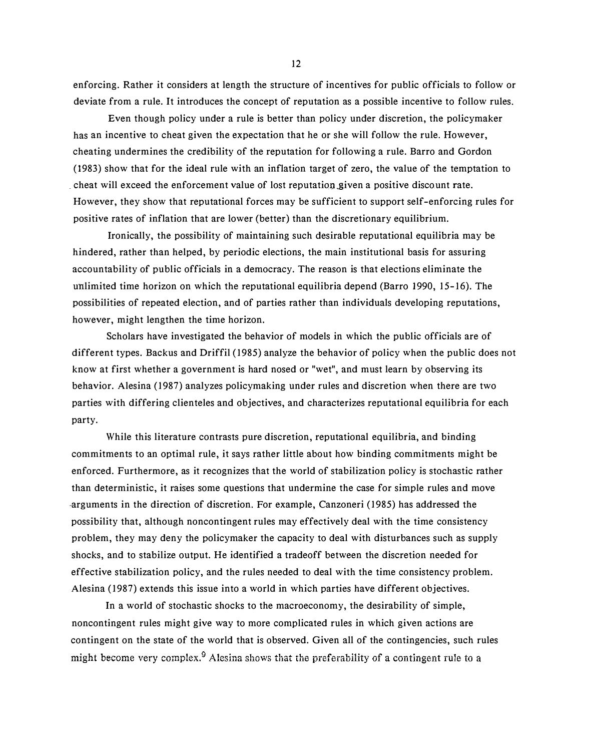enforcing. Rather it considers at length the structure of incentives for public officials to follow or deviate from a rule. It introduces the concept of reputation as a possible incentive to follow rules.

Even though policy under a rule is better than policy under discretion, the policymaker has an incentive to cheat given the expectation that he or she will follow the rule. However, cheating undermines the credibility of the reputation for following a rule. Barro and Gordon (1983) show that for the ideal rule with an inflation target of zero, the value of the temptation to cheat will exceed the enforcement value of lost reputation given a positive discount rate. However, they show that reputational forces may be sufficient to support self-enforcing rules for positive rates of inflation that are lower (better) than the discretionary equilibrium.

Ironically, the possibility of maintaining such desirable reputational equilibria may be hindered, rather than helped, by periodic elections, the main institutional basis for assuring accountability of public officials in a democracy. The reason is that elections eliminate the unlimited time horizon on which the reputational equilibria depend (Barro 1990, 15-16). The possibilities of repeated election, and of parties rather than individuals developing reputations, however, might lengthen the time horizon.

Scholars have investigated the behavior of models in which the public officials are of different types. Backus and Driffil (1985) analyze the behavior of policy when the public does not know at first whether a government is hard nosed or "wet", and must learn by observing its behavior. Alesina (1987) analyzes policymaking under rules and discretion when there are two parties with differing clienteles and objectives, and characterizes reputational equilibria for each party.

While this literature contrasts pure discretion, reputational equilibria, and binding commitments to an optimal rule, it says rather little about how binding commitments might be enforced. Furthermore, as it recognizes that the world of stabilization policy is stochastic rather than deterministic, it raises some questions that undermine the case for simple rules and move -arguments in the direction of discretion. For example, Canzoneri (1985) has addressed the possibility that, although noncontingent rules may effectively deal with the time consistency problem, they may deny the policymaker the capacity to deal with disturbances such as supply shocks, and to stabilize output. He identified a tradeoff between the discretion needed for effective stabilization policy, and the rules needed to deal with the time consistency problem. Alesina (1987) extends this issue into a world in which parties have different objectives.

In a world of stochastic shocks to the macroeconomy, the desirability of simple, noncontingent rules might give way to more complicated rules in which given actions are contingent on the state of the world that is observed. Given all of the contingencies, such rules might become very complex.<sup>9</sup> Alesina shows that the preferability of a contingent rule to a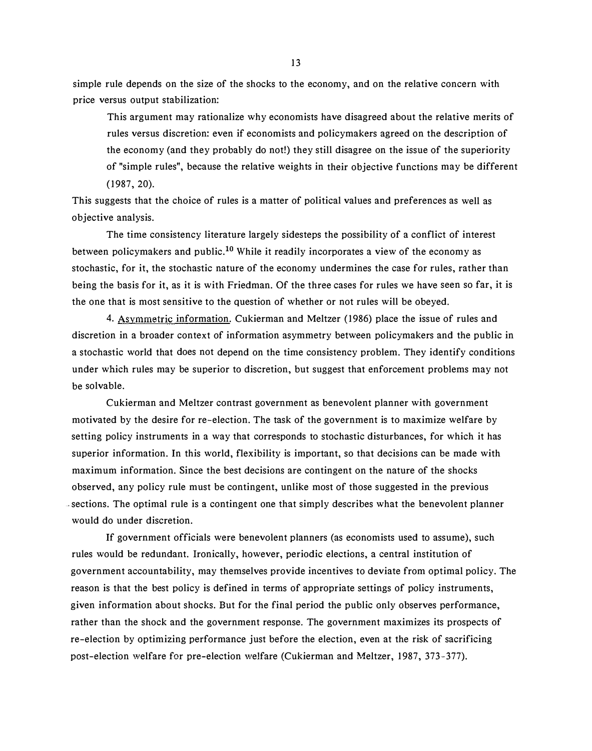simple rule depends on the size of the shocks to the economy, and on the relative concern with price versus output stabilization:

This argument may rationalize why economists have disagreed about the relative merits of rules versus discretion: even if economists and policymakers agreed on the description of the economy (and they probably do not!) they still disagree on the issue of the superiority of "simple rules'', because the relative weights in their objective functions may be different (1987, 20).

This suggests that the choice of rules is a matter of political values and preferences as well as objective analysis.

The time consistency literature largely sidesteps the possibility of a conflict of interest between policymakers and public.<sup>10</sup> While it readily incorporates a view of the economy as stochastic, for it, the stochastic nature of the economy undermines the case for rules, rather than being the basis for it, as it is with Friedman. Of the three cases for rules we have seen so far, it is the one that is most sensitive to the question of whether or not rules will be obeyed.

4. Asymmetric information. Cukierman and Meltzer (1986) place the issue of rules and discretion in a broader context of information asymmetry between policymakers and the public in a stochastic world that does not depend on the time consistency problem. They identify conditions under which rules may be superior to discretion, but suggest that enforcement problems may not be solvable.

Cukierman and Meltzer contrast government as benevolent planner with government motivated by the desire for re-election. The task of the government is to maximize welfare by setting policy instruments in a way that corresponds to stochastic disturbances, for which it has superior information. In this world, flexibility is important, so that decisions can be made with maximum information. Since the best decisions are contingent on the nature of the shocks observed, any policy rule must be contingent, unlike most of those suggested in the previous sections. The optimal rule is a contingent one that simply describes what the benevolent planner would do under discretion.

If government officials were benevolent planners (as economists used to assume), such rules would be redundant. Ironically, however, periodic elections, a central institution of government accountability, may themselves provide incentives to deviate from optimal policy. The reason is that the best policy is defined in terms of appropriate settings of policy instruments, given information about shocks. But for the final period the public only observes performance, rather than the shock and the government response. The government maximizes its prospects of re-election by optimizing performance just before the election, even at the risk of sacrificing post-election welfare for pre-election welfare (Cukierman and Meltzer, 1987, 373-377).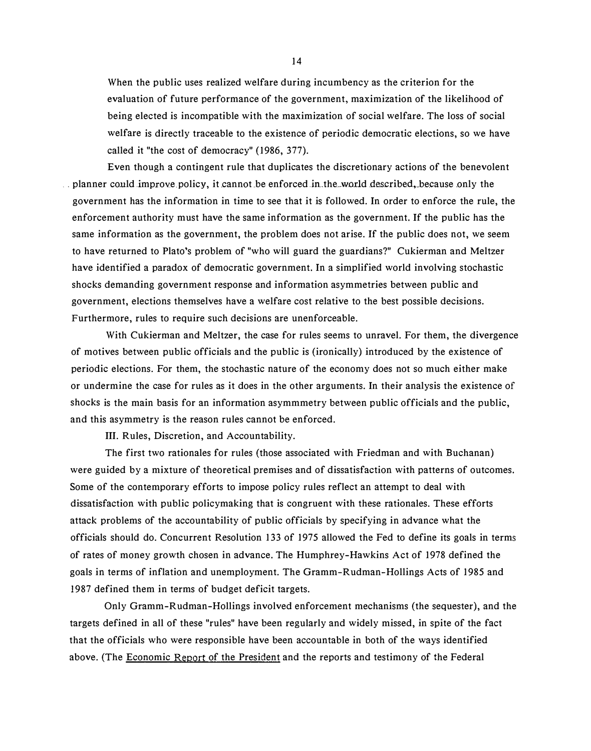When the public uses realized welfare during incumbency as the criterion for the evaluation of future performance of the government, maximization of the likelihood of being elected is incompatible with the maximization of social welfare. The loss of social welfare is directly traceable to the existence of periodic democratic elections, so we have called it "the cost of democracy" (1986, 377).

Even though a contingent rule that duplicates the discretionary actions of the benevolent ... planner could improve policy, it cannot be enforced in the world described, because only the government has the information in time to see that it is followed. In order to enforce the rule, the enforcement authority must have the same information as the government. If the public has the same information as the government, the problem does not arise. If the public does not, we seem to have returned to Plato's problem of "who will guard the guardians?" Cukierman and Meltzer have identified a paradox of democratic government. In a simplified world involving stochastic shocks demanding government response and information asymmetries between public and government, elections themselves have a welfare cost relative to the best possible decisions. Furthermore, rules to require such decisions are unenforceable.

With Cukierman and Meltzer, the case for rules seems to unravel. For them, the divergence of motives between public officials and the public is (ironically) introduced by the existence of periodic elections. For them, the stochastic nature of the economy does not so much either make or undermine the case for rules as it does in the other arguments. In their analysis the existence of shocks is the main basis for an information asymmmetry between public officials and the public, and this asymmetry is the reason rules cannot be enforced.

III. Rules, Discretion, and Accountability.

The first two rationales for rules (those associated with Friedman and with Buchanan) were guided by a mixture of theoretical premises and of dissatisfaction with patterns of outcomes. Some of the contemporary efforts to impose policy rules reflect an attempt to deal with dissatisfaction with public policymaking that is congruent with these rationales. These efforts attack problems of the accountability of public officials by specifying in advance what the officials should do. Concurrent Resolution 133 of 1975 allowed the Fed to define its goals in terms of rates of money growth chosen in advance. The Humphrey-Hawkins Act of 1978 defined the goals in terms of inflation and unemployment. The Gramm-Rudman-Hollings Acts of 1985 and 1987 defined them in terms of budget deficit targets.

Only Gramm-Rudman-Hollings involved enforcement mechanisms (the sequester), and the targets defined in all of these "rules" have been regularly and widely missed, in spite of the fact that the officials who were responsible have been accountable in both of the ways identified above. (The Economic Report of the President and the reports and testimony of the Federal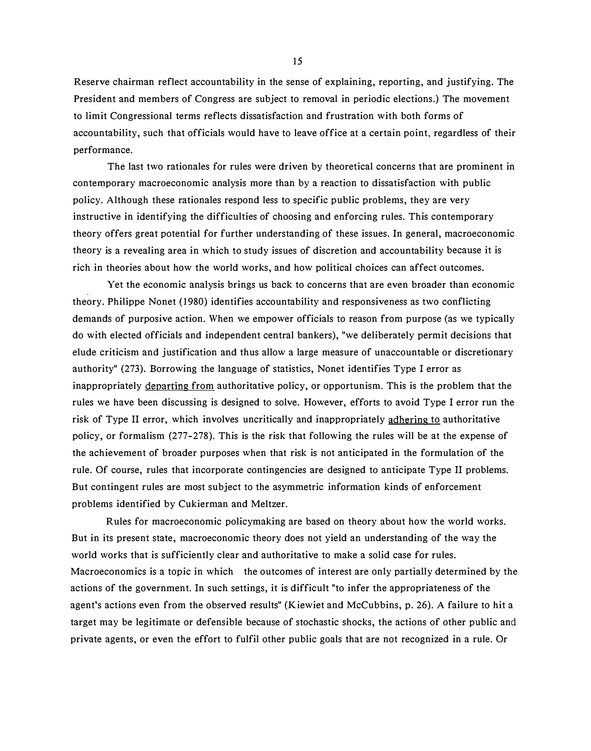Reserve chairman reflect accountability in the sense of explaining, reporting, and justifying. The President and members of Congress are subject to removal in periodic elections.) The movement to limit Congressional terms reflects dissatisfaction and frustration with both forms of accountability, such that officials would have to leave office at a certain point, regardless of their performance.

The last two rationales for rules were driven by theoretical concerns that are prominent in contemporary macroeconomic analysis more than by a reaction to dissatisfaction with public policy. Although these rationales respond less to specific public problems, they are very instructive in identifying the difficulties of choosing and enforcing rules. This contemporary theory offers great potential for further understanding of these issues. In general, macroeconomic theory is a revealing area in which to study issues of discretion and accountability because it is rich in theories about how the world works, and how political choices can affect outcomes.

Yet the economic analysis brings us back to concerns that are even broader than economic theory. Philippe Nonet (1980) identifies accountability and responsiveness as two conflicting demands of purposive action. When we empower officials to reason from purpose (as we typically do with elected officials and independent central bankers), "we deliberately permit decisions that elude criticism and justification and thus allow a large measure of unaccountable or discretionary authority" (273). Borrowing the language of statistics, Nonet identifies Type I error as inappropriately departing from authoritative policy, or opportunism. This is the problem that the rules we have been discussing is designed to solve. However, efforts to avoid Type I error run the risk of Type II error, which involves uncritically and inappropriately adhering to authoritative policy, or formalism (277-278). This is the risk that following the rules will be at the expense of the achievement of broader purposes when that risk is not anticipated in the formulation of the rule. Of course, rules that incorporate contingencies are designed to anticipate Type II problems. But contingent rules are most subject to the asymmetric information kinds of enforcement problems identified by Cukierman and Meltzer.

Rules for macroeconomic policymaking are based on theory about how the world works. But in its present state, macroeconomic theory does not yield an understanding of the way the world works that is sufficiently clear and authoritative to make a solid case for rules. Macroeconomics is a topic in which the outcomes of interest are only partially determined by the actions of the government. In such settings, it is difficult "to infer the appropriateness of the agent's actions even from the observed results" (Kiewiet and McCubbins, p. 26). A failure to hit a target may be legitimate or defensible because of stochastic shocks, the actions of other public and private agents, or even the effort to fulfil other public goals that are not recognized in a rule. Or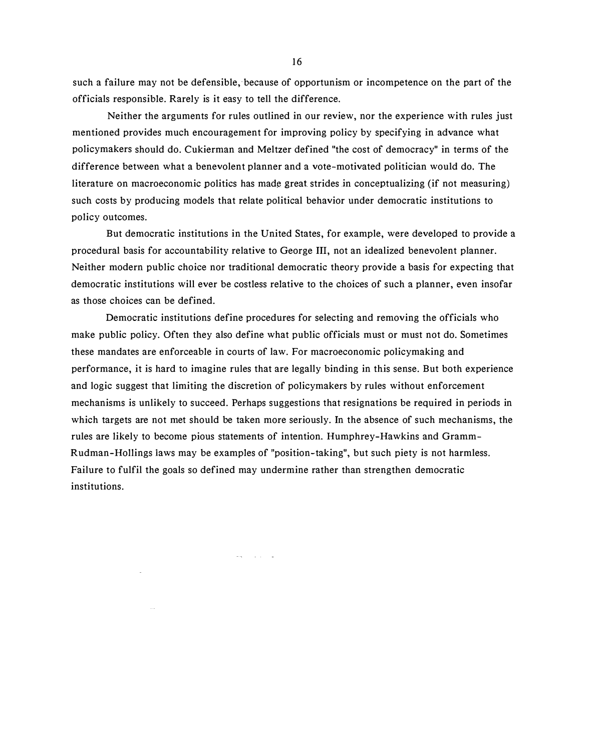such a failure may not be defensible, because of opportunism or incompetence on the part of the officials responsible. Rarely is it easy to tell the difference.

Neither the arguments for rules outlined in our review, nor the experience with rules just mentioned provides much encouragement for improving policy by specifying in advance what policymakers should do. Cukierman and Meltzer defined "the cost of democracy" in terms of the difference between what a benevolent planner and a vote-motivated politician would do. The literature on macroeconomic politics has made great strides in conceptualizing (if not measuring) such costs by producing models that relate political behavior under democratic institutions to policy outcomes.

But democratic institutions in the United States, for example, were developed to provide a procedural basis for accountability relative to George III, not an idealized benevolent planner. Neither modern public choice nor traditional democratic theory provide a basis for expecting that democratic institutions will ever be costless relative to the choices of such a planner, even insofar as those choices can be defined.

Democratic institutions define procedures for selecting and removing the officials who make public policy. Often they also define what public officials must or must not do. Sometimes these mandates are enforceable in courts of law. For macroeconomic policymaking and performance, it is hard to imagine rules that are legally binding in this sense. But both experience and logic suggest that limiting the discretion of policymakers by rules without enforcement mechanisms is unlikely to succeed. Perhaps suggestions that resignations be required in periods in which targets are not met should be taken more seriously. In the absence of such mechanisms, the rules are likely to become pious statements of intention. Humphrey-Hawkins and Gramm-Rudman-Hollings iaws may be examples of "position-taking", but such piety is not harmless. Failure to fulfil the goals so defined may undermine rather than strengthen democratic institutions.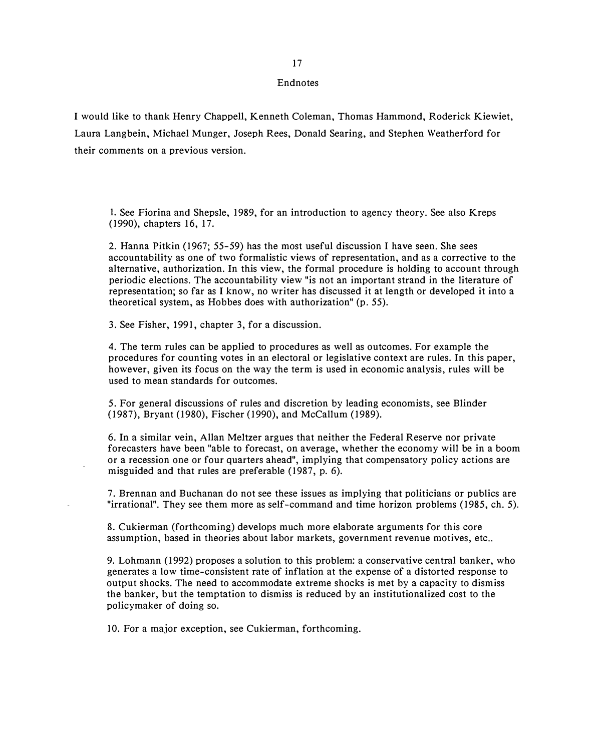#### Endnotes

I would like to thank Henry Chappell, Kenneth Coleman, Thomas Hammond, Roderick Kiewiet, Laura Langbein, Michael Munger, Joseph Rees, Donald Searing, and Stephen Weatherford for their comments on a previous version.

I. See Fiorina and Shepsle, 1989, for an introduction to agency theory. See also Kreps (1990), chapters 16, 17.

2. Hanna Pitkin (1967; 55-59) has the most useful discussion I have seen. She sees accountability as one of two formalistic views of representation, and as a corrective to the alternative, authorization. In this view, the formal procedure is holding to account through periodic elections. The accountability view "is not an important strand in the literature of representation; so far as I know, no writer has discussed it at length or developed it into a theoretical system, as Hobbes does with authorization" (p. 55).

3. See Fisher, 1991, chapter 3, for a discussion.

4. The term rules can be applied to procedures as well as outcomes. For example the procedures for counting votes in an electoral or legislative context are rules. In this paper, however, given its focus on the way the term is used in economic analysis, rules will be used to mean standards for outcomes.

5. For general discussions of rules and discretion by leading economists, see Blinder (1987), Bryant (1980), Fischer (1990), and McCallum (1989).

6. In a similar vein, Allan Meltzer argues that neither the Federal Reserve nor private forecasters have been "able to forecast, on average, whether the economy will be in a boom or a recession one or four quarters ahead", implying that compensatory policy actions are misguided and that rules are preferable (1987, p. 6).

7. Brennan and Buchanan do not see these issues as implying that politicians or publics are "irrational". They see them more as self-command and time horizon problems (1985, ch. 5).

8. Cukierman (forthcoming) develops much more elaborate arguments for this core assumption, based in theories about labor markets, government revenue motives, etc..

9. Lohmann (1992) proposes a solution to this problem: a conservative central banker, who generates a low time-consistent rate of inflation at the expense of a distorted response to output shocks. The need to accommodate extreme shocks is met by a capacity to dismiss the banker, but the temptation to dismiss is reduced by an institutionalized cost to the policymaker of doing so.

10. For a major exception, see Cukierman, forthcoming.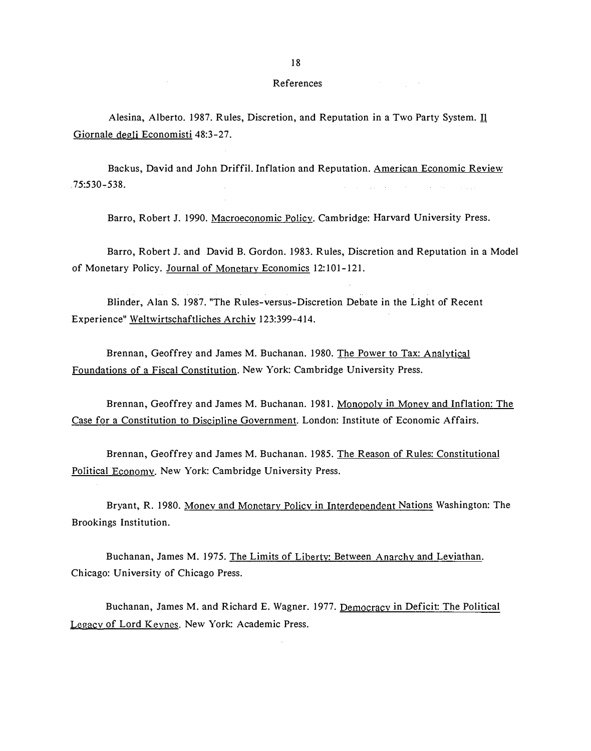#### References

 $\label{eq:2.1} \mathcal{L}_{\mathcal{A}}(\mathcal{A})=\mathcal{L}_{\mathcal{A}}(\mathcal{A})\mathcal{L}_{\mathcal{A}}(\mathcal{A})\mathcal{L}_{\mathcal{A}}(\mathcal{A}).$ 

Alesina, Alberto. 1987. Rules, Discretion, and Reputation in a Two Party System. Il Giornale degli Economisti 48:3-27.

Backus, David and John Driffil. Inflation and Reputation. American Economic Review  $.75:530 - 538.$ such a special contract of the contract and

Barro, Robert J. 1990. Macroeconomic Policy. Cambridge: Harvard University Press.

Barro, Robert J. and David B. Gordon. 1983. Rules, Discretion and Reputation in a Model of Monetary Policy. Journal of Monetary Economics 12: 101-121.

Blinder, Alan S. 1987. "The Rules-versus-Discretion Debate in the Light of Recent Experience" Weltwirtschaftliches Archiv 123:399-414.

Brennan, Geoffrey and James M. Buchanan. 1980. The Power to Tax: Analytical Foundations of a Fiscal Constitution. New York: Cambridge University Press.

Brennan, Geoffrey and James M. Buchanan. 1981. Monopoly in Money and Inflation: The Case for a Constitution to Discipline Government. London: Institute of Economic Affairs.

Brennan, Geoffrey and James M. Buchanan. 1985. The Reason of Rules: Constitutional Political Economy. New York: Cambridge University Press.

Bryant, R. 1980. Money and Monetary Policy in Interdependent Nations Washington: The Brookings Institution.

Buchanan, James M. 1975. The Limits of Liberty: Between Anarchy and Leviathan. Chicago: University of Chicago Press.

Buchanan, James M. and Richard E. Wagner. 1977. Democracy in Deficit: The Political Legacy of Lord Keynes. New York: Academic Press.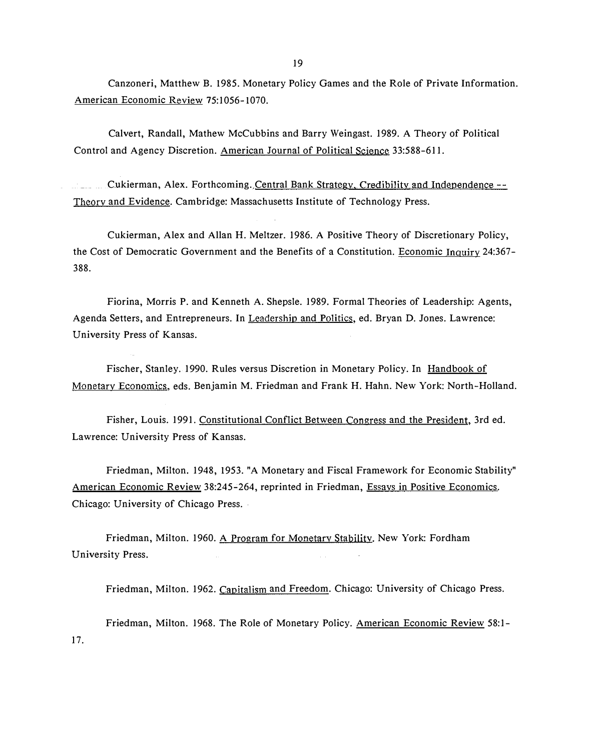19

Canzoneri, Matthew B. 1985. Monetary Policy Games and the Role of Private Information. American Economic Review 75:1056-1070.

Calvert, Randall, Mathew McCubbins and Barry Weingast. 1989. A Theory of Political Control and Agency Discretion. American Journal of Political Science 33:588-611.

Cukierman, Alex. Forthcoming. Central Bank Strategy, Credibility and Independence --Theory and Evidence. Cambridge: Massachusetts Institute of Technology Press.

Cukierman, Alex and Allan H. Meltzer. 1986. A Positive Theory of Discretionary Policy, the Cost of Democratic Government and the Benefits of a Constitution. Economic Inquiry 24:367- 388.

Fiorina, Morris P. and Kenneth A. Shepsle. 1989. Formal Theories of Leadership: Agents, Agenda Setters, and Entrepreneurs. In Leadership and Politics, ed. Bryan D. Jones. Lawrence: University Press of Kansas.

Fischer, Stanley. 1990. Rules versus Discretion in Monetary Policy. In Handbook of Monetary Economics, eds. Benjamin M. Friedman and Frank H. Hahn. New York: North-Holland.

Fisher, Louis. 1991. Constitutional Conflict Between Congress and the President, 3rd ed. Lawrence: University Press of Kansas.

Friedman, Milton. 1948, 1953. "A Monetary and Fiscal Framework for Economic Stability" American Economic Review 38:245-264, reprinted in Friedman, Essays in Positive Economics. Chicago: University of Chicago Press.

Friedman, Milton. 1960. A Program for Monetary Stability. New York: Fordham University Press.

Friedman, Milton. 1962. Capitalism and Freedom. Chicago: University of Chicago Press.

Friedman, Milton. 1968. The Role of Monetary Policy. American Economic Review 58:1- 17.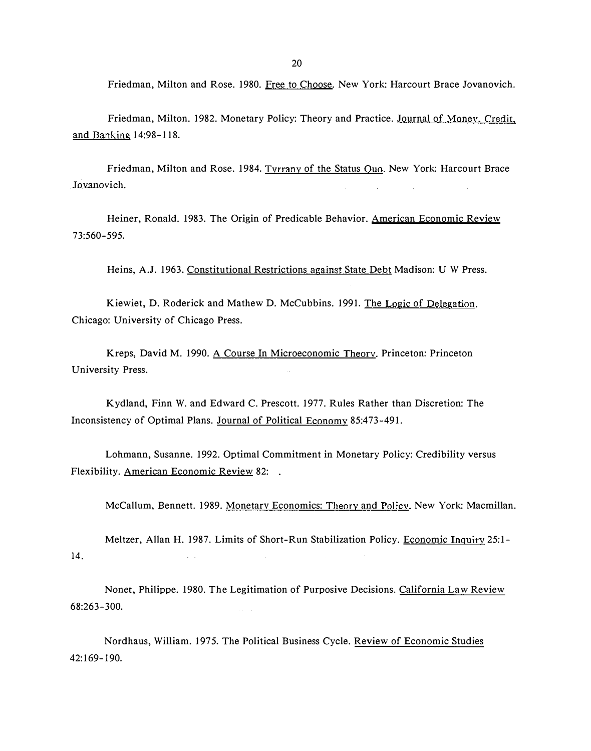Friedman, Milton and Rose. 1980. Free to Choose. New York: Harcourt Brace Jovanovich.

Friedman, Milton. 1982. Monetary Policy: Theory and Practice. Journal of Money. Credit. and Banking 14:98-118.

Friedman, Milton and Rose. 1984. Tyrrany of the Status Quo. New York: Harcourt Brace Jovanovich.  $\Delta$  , where  $\Delta$ 

Heiner, Ronald. 1983. The Origin of Predicable Behavior. American Economic Review 73:560-595.

Heins, A.J. 1963. Constitutional Restrictions against State Debt Madison: U W Press.

Kiewiet, D. Roderick and Mathew D. Mccubbins. 1991. The Logic of Delegation. Chicago: University of Chicago Press.

Kreps, David M. 1990. A Course In Microeconomic Theory. Princeton: Princeton University Press.

Kydland, Finn W. and Edward C. Prescott. 1977. Rules Rather than Discretion: The Inconsistency of Optimal Plans. Journal of Political Economy 85:473-491.

Lohmann, Susanne. 1992. Optimal Commitment in Monetary Policy: Credibility versus Flexibility. American Economic Review 82:

McCallum, Bennett. 1989. Monetarv Economics: Theory and Policy. New York: Macmillan.

Meltzer, Allan H. 1987. Limits of Short-Run Stabilization Policy. Economic Inquiry 25:1- 14.  $\mathcal{L}^{\text{c}}$  and

Nonet, Philippe. 1980. The Legitimation of Purposive Decisions. California Law Review 68:263-300.

Nordhaus, William. 1975. The Political Business Cycle. Review of Economic Studies 42:169-190.